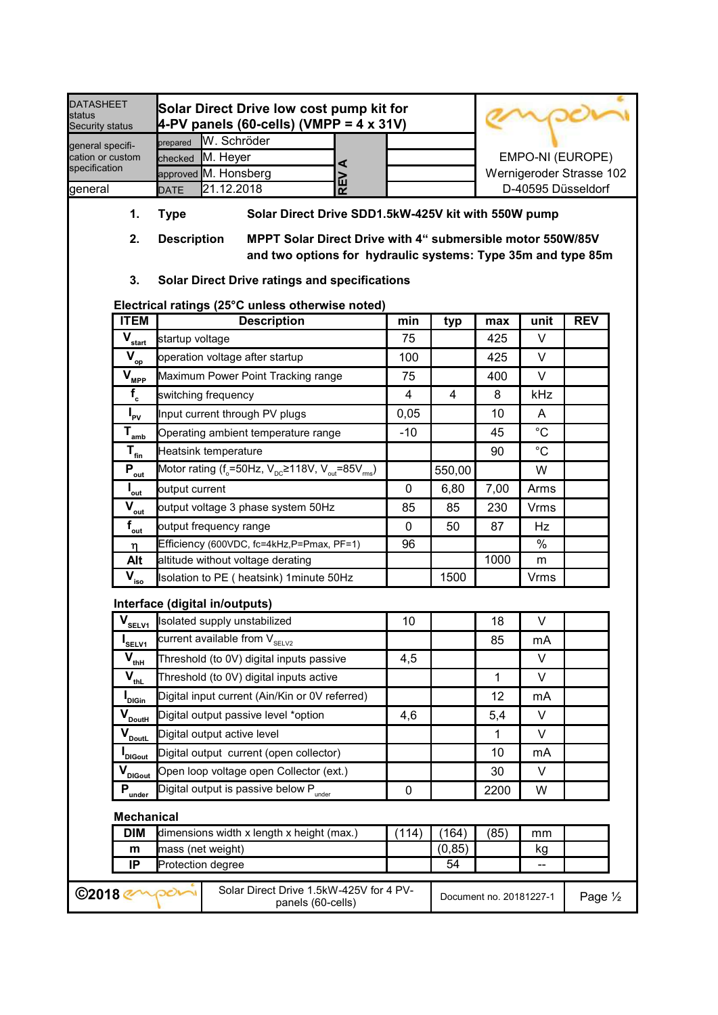| <b>DATASHEET</b><br><b>status</b><br>Security status  |             | Solar Direct Drive low cost pump kit for<br>$\blacktriangle$ -PV panels (60-cells) (VMPP = 4 x 31V) |  |                          |
|-------------------------------------------------------|-------------|-----------------------------------------------------------------------------------------------------|--|--------------------------|
| general specifi-<br>cation or custom<br>specification | prepared    | <b>W. Schröder</b>                                                                                  |  |                          |
|                                                       |             | checked M. Heyer                                                                                    |  | EMPO-NI (EUROPE)         |
|                                                       |             | approved M. Honsberg                                                                                |  | Wernigeroder Strasse 102 |
| general                                               | <b>DATE</b> | 21.12.2018                                                                                          |  | D-40595 Düsseldorf       |

- 1. Type Solar Direct Drive SDD1.5kW-425V kit with 550W pump
- 2. Description MPPT Solar Direct Drive with 4" submersible motor 550W/85V and two options for hydraulic systems: Type 35m and type 85m
- 3. Solar Direct Drive ratings and specifications

# Electrical ratings (25°C unless otherwise noted)

| <b>ITEM</b>                                                       | <b>Description</b>                                                                                            | min            | typ           | max          | unit        | <b>REV</b> |
|-------------------------------------------------------------------|---------------------------------------------------------------------------------------------------------------|----------------|---------------|--------------|-------------|------------|
| $\bar{\textbf{V}}_{\text{start}}$                                 | startup voltage                                                                                               | 75             |               | 425          | V           |            |
| $\bar{V}_{\underline{op}}$                                        | operation voltage after startup                                                                               | 100            |               | 425          | V           |            |
| $\overline{V}_{\underline{\text{MPP}}}$                           | Maximum Power Point Tracking range                                                                            | 75             |               | 400          | V           |            |
| $f_c$                                                             | switching frequency                                                                                           | $\overline{4}$ | 4             | 8            | kHz         |            |
| $I_{\rm PV}$                                                      | Input current through PV plugs                                                                                | 0,05           |               | 10           | A           |            |
| $T_{\text{amb}}$                                                  | Operating ambient temperature range                                                                           | $-10$          |               | 45           | $^{\circ}C$ |            |
| $\mathbf{T}_{\underline{\mathrm{fin}}}$                           | Heatsink temperature                                                                                          |                |               | 90           | $^{\circ}C$ |            |
| $\overline{P_{\underline{out}}}$                                  | Motor rating ( $f_{\circ}$ =50Hz, V <sub>pc</sub> ≥118V, V <sub>out</sub> =85V <sub>ms</sub> )                |                | 550,00        |              | W           |            |
| $I_{\underline{\text{out}}}$                                      | output current                                                                                                | $\mathbf 0$    | 6,80          | 7,00         | Arms        |            |
| $\overline{V_{\underline{out}}}$                                  | output voltage 3 phase system 50Hz                                                                            | 85             | 85            | 230          | <b>Vrms</b> |            |
| $f_{_{\rm out}}$                                                  | output frequency range                                                                                        | $\mathbf 0$    | 50            | 87           | Hz          |            |
| η                                                                 | Efficiency (600VDC, fc=4kHz,P=Pmax, PF=1)                                                                     | 96             |               |              | %           |            |
| Alt                                                               | altitude without voltage derating                                                                             |                |               | 1000         | m           |            |
| $\overline{\mathbf{V}}_{\underline{\text{iso}}}$                  | Isolation to PE (heatsink) 1minute 50Hz                                                                       |                | 1500          |              | Vrms        |            |
|                                                                   | Interface (digital in/outputs)                                                                                |                |               |              |             |            |
|                                                                   |                                                                                                               | 10             |               | 18           | V           |            |
| $V_{\text{SEVI}}$<br>I <sub>SELV1</sub>                           | Isolated supply unstabilized<br>$\overline{\overline{\mathrm{current}}}$ available from V $_{\mathrm{SELV2}}$ |                |               | 85           | mA          |            |
|                                                                   | Threshold (to 0V) digital inputs passive                                                                      | 4,5            |               |              | V           |            |
| $\mathbf{V}_{\underline{\text{thH}}}$                             | Threshold (to 0V) digital inputs active                                                                       |                |               | $\mathbf{1}$ | V           |            |
| $\mathbf{\bar{v}}_{\underline{\text{thL}}}$<br>I <sub>DIGin</sub> | Digital input current (Ain/Kin or 0V referred)                                                                |                |               | 12           | mA          |            |
|                                                                   | Digital output passive level *option                                                                          | 4,6            |               | 5,4          | V           |            |
| $V_{\text{Douth}}$                                                | Digital output active level                                                                                   |                |               | 1            | V           |            |
| $V_{\text{DoutL}}$                                                | Digital output current (open collector)                                                                       |                |               | 10           | mA          |            |
| <b>I</b> <sub>DIGout</sub>                                        | Open loop voltage open Collector (ext.)                                                                       |                |               | 30           | $\vee$      |            |
| $V_{\text{DIGout}}$                                               | Digital output is passive below P <sub>under</sub>                                                            | $\mathbf 0$    |               | 2200         | W           |            |
| $P_{\frac{under}}$<br><b>Mechanical</b>                           |                                                                                                               |                |               |              |             |            |
| <b>DIM</b>                                                        | dimensions width x length x height (max.)                                                                     | (114)          | (164)         | (85)         | mm          |            |
| m<br>IP                                                           | mass (net weight)<br>Protection degree                                                                        |                | (0, 85)<br>54 |              | kg          |            |